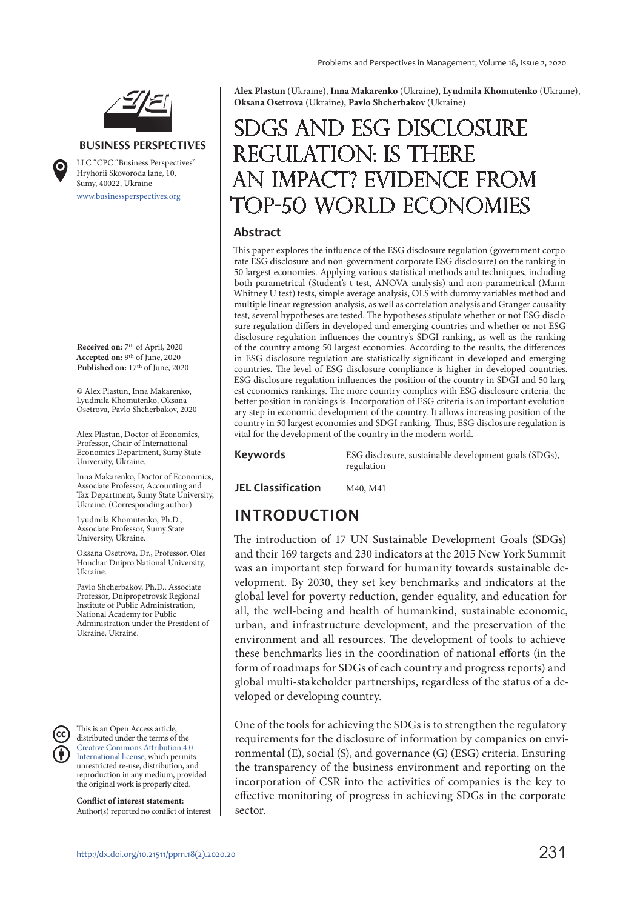

#### **BUSINESS PERSPECTIVES**

LLC "СPС "Business Perspectives"

[www.businessperspectives.org](http://www.businessperspectives.org) Hryhorii Skovoroda lane, 10, Sumy, 40022, Ukraine

**Received on:** 7th of April, 2020 **Accepted on:** 9th of June, 2020 Published on: 17<sup>th</sup> of June, 2020

© Alex Plastun, Inna Makarenko, Lyudmila Khomutenko, Oksana Osetrova, Pavlo Shcherbakov, 2020

Alex Plastun, Doctor of Economics, Professor, Chair of International Economics Department, Sumy State University, Ukraine.

Inna Makarenko, Doctor of Economics, Associate Professor, Accounting and Tax Department, Sumy State University, Ukraine. (Corresponding author)

Lyudmila Khomutenko, Ph.D., Associate Professor, Sumy State University, Ukraine.

Oksana Osetrova, Dr., Professor, Oles Honchar Dnipro National University, Ukraine.

Pavlo Shcherbakov, Ph.D., Associate Professor, Dnipropetrovsk Regional Institute of Public Administration, National Academy for Public Administration under the President of Ukraine, Ukraine.

This is an Open Access article, distributed under the terms of the [Creative Commons Attribution 4.0](https://creativecommons.org/licenses/by/4.0/)  [International license,](https://creativecommons.org/licenses/by/4.0/) which permits unrestricted re-use, distribution, and reproduction in any medium, provided the original work is properly cited.

**Conflict of interest statement:**  Author(s) reported no conflict of interest

**Alex Plastun** (Ukraine), **Inna Makarenko** (Ukraine), **Lyudmila Khomutenko** (Ukraine), **Oksana Osetrova** (Ukraine), **Pavlo Shcherbakov** (Ukraine)

# SDGs and ESG disclosure regulation: is there an impact? Evidence from Top-50 world economies

#### **Abstract**

This paper explores the influence of the ESG disclosure regulation (government corporate ESG disclosure and non-government corporate ESG disclosure) on the ranking in 50 largest economies. Applying various statistical methods and techniques, including both parametrical (Student's t-test, ANOVA analysis) and non-parametrical (Mann-Whitney U test) tests, simple average analysis, OLS with dummy variables method and multiple linear regression analysis, as well as correlation analysis and Granger causality test, several hypotheses are tested. The hypotheses stipulate whether or not ESG disclosure regulation differs in developed and emerging countries and whether or not ESG disclosure regulation influences the country's SDGI ranking, as well as the ranking of the country among 50 largest economies. According to the results, the differences in ESG disclosure regulation are statistically significant in developed and emerging countries. The level of ESG disclosure compliance is higher in developed countries. ESG disclosure regulation influences the position of the country in SDGI and 50 largest economies rankings. The more country complies with ESG disclosure criteria, the better position in rankings is. Incorporation of ESG criteria is an important evolutionary step in economic development of the country. It allows increasing position of the country in 50 largest economies and SDGI ranking. Thus, ESG disclosure regulation is vital for the development of the country in the modern world.

**Keywords** ESG disclosure, sustainable development goals (SDGs), regulation

**JEL Classification** M40, M41

# **INTRODUCTION**

The introduction of 17 UN Sustainable Development Goals (SDGs) and their 169 targets and 230 indicators at the 2015 New York Summit was an important step forward for humanity towards sustainable development. By 2030, they set key benchmarks and indicators at the global level for poverty reduction, gender equality, and education for all, the well-being and health of humankind, sustainable economic, urban, and infrastructure development, and the preservation of the environment and all resources. The development of tools to achieve these benchmarks lies in the coordination of national efforts (in the form of roadmaps for SDGs of each country and progress reports) and global multi-stakeholder partnerships, regardless of the status of a developed or developing country.

One of the tools for achieving the SDGs is to strengthen the regulatory requirements for the disclosure of information by companies on environmental (E), social (S), and governance (G) (ESG) criteria. Ensuring the transparency of the business environment and reporting on the incorporation of CSR into the activities of companies is the key to effective monitoring of progress in achieving SDGs in the corporate sector.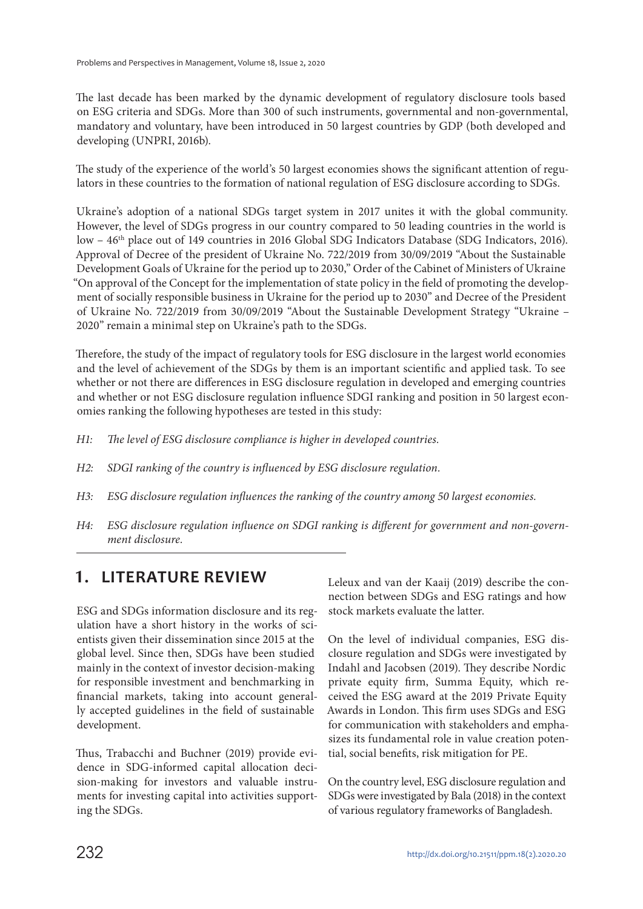The last decade has been marked by the dynamic development of regulatory disclosure tools based on ESG criteria and SDGs. More than 300 of such instruments, governmental and non-governmental, mandatory and voluntary, have been introduced in 50 largest countries by GDP (both developed and developing (UNPRI, 2016b).

The study of the experience of the world's 50 largest economies shows the significant attention of regulators in these countries to the formation of national regulation of ESG disclosure according to SDGs.

Ukraine's adoption of a national SDGs target system in 2017 unites it with the global community. However, the level of SDGs progress in our country compared to 50 leading countries in the world is low - 46<sup>th</sup> place out of 149 countries in 2016 Global SDG Indicators Database (SDG Indicators, 2016). Approval of Decree of the president of Ukraine No. 722/2019 from 30/09/2019 "About the Sustainable Development Goals of Ukraine for the period up to 2030," Order of the Cabinet of Ministers of Ukraine "On approval of the Concept for the implementation of state policy in the field of promoting the development of socially responsible business in Ukraine for the period up to 2030" and Decree of the President of Ukraine No. 722/2019 from 30/09/2019 "About the Sustainable Development Strategy "Ukraine – 2020" remain a minimal step on Ukraine's path to the SDGs.

Therefore, the study of the impact of regulatory tools for ESG disclosure in the largest world economies and the level of achievement of the SDGs by them is an important scientific and applied task. To see whether or not there are differences in ESG disclosure regulation in developed and emerging countries and whether or not ESG disclosure regulation influence SDGI ranking and position in 50 largest economies ranking the following hypotheses are tested in this study:

- *H1: The level of ESG disclosure compliance is higher in developed countries.*
- *H2: SDGI ranking of the country is influenced by ESG disclosure regulation.*
- *H3: ESG disclosure regulation influences the ranking of the country among 50 largest economies.*
- *H4: ESG disclosure regulation influence on SDGI ranking is different for government and non-government disclosure.*

### **1. LITERATURE REVIEW**

ESG and SDGs information disclosure and its regulation have a short history in the works of scientists given their dissemination since 2015 at the global level. Since then, SDGs have been studied mainly in the context of investor decision-making for responsible investment and benchmarking in financial markets, taking into account generally accepted guidelines in the field of sustainable development.

Thus, Trabacchi and Buchner (2019) provide evidence in SDG-informed capital allocation decision-making for investors and valuable instruments for investing capital into activities supporting the SDGs.

Leleux and van der Kaaij (2019) describe the connection between SDGs and ESG ratings and how stock markets evaluate the latter.

On the level of individual companies, ESG disclosure regulation and SDGs were investigated by Indahl and Jacobsen (2019). They describe Nordic private equity firm, Summa Equity, which received the ESG award at the 2019 Private Equity Awards in London. This firm uses SDGs and ESG for communication with stakeholders and emphasizes its fundamental role in value creation potential, social benefits, risk mitigation for PE.

On the country level, ESG disclosure regulation and SDGs were investigated by Bala (2018) in the context of various regulatory frameworks of Bangladesh.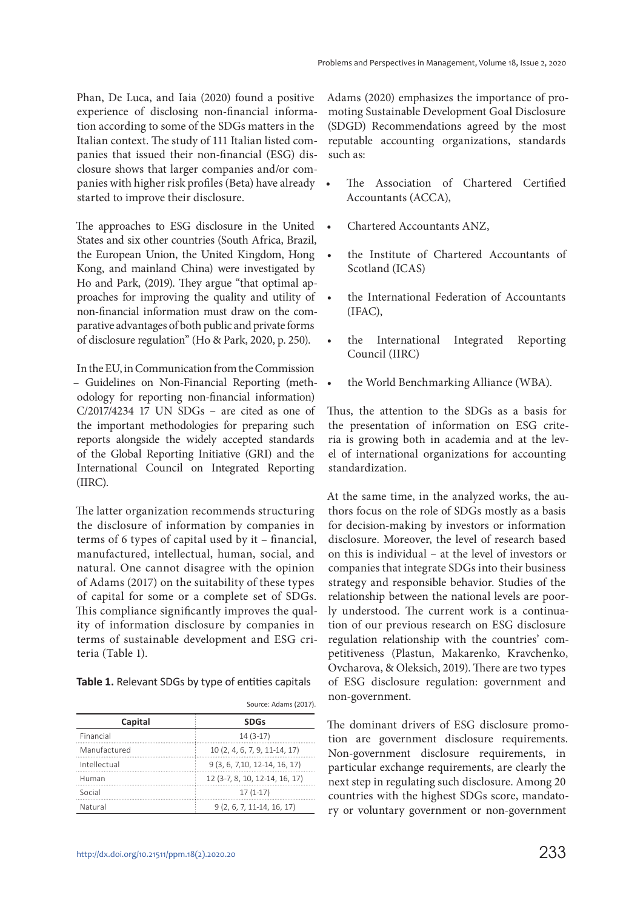Phan, De Luca, and Iaia (2020) found a positive experience of disclosing non-financial information according to some of the SDGs matters in the Italian context. The study of 111 Italian listed companies that issued their non-financial (ESG) disclosure shows that larger companies and/or companies with higher risk profiles (Beta) have already . started to improve their disclosure.

The approaches to ESG disclosure in the United • States and six other countries (South Africa, Brazil, the European Union, the United Kingdom, Hong Kong, and mainland China) were investigated by Ho and Park, (2019). They argue "that optimal approaches for improving the quality and utility of non-financial information must draw on the comparative advantages of both public and private forms of disclosure regulation" (Ho & Park, 2020, p. 250).

In the EU, in Communication from the Commission – Guidelines on Non-Financial Reporting (methodology for reporting non-financial information) C/2017/4234 17 UN SDGs – are cited as one of the important methodologies for preparing such reports alongside the widely accepted standards of the Global Reporting Initiative (GRI) and the International Council on Integrated Reporting (IIRC).

The latter organization recommends structuring the disclosure of information by companies in terms of 6 types of capital used by it – financial, manufactured, intellectual, human, social, and natural. One cannot disagree with the opinion of Adams (2017) on the suitability of these types of capital for some or a complete set of SDGs. This compliance significantly improves the quality of information disclosure by companies in terms of sustainable development and ESG criteria (Table 1).

 $\overline{S}$ 

|              | Source: Adams (2017).           |
|--------------|---------------------------------|
| Capital      | <b>SDGs</b>                     |
| Financial    | $14(3-17)$                      |
| Manufactured | 10 (2, 4, 6, 7, 9, 11-14, 17)   |
| Intellectual | $9(3, 6, 7, 10, 12-14, 16, 17)$ |
| Human        | 12 (3-7, 8, 10, 12-14, 16, 17)  |
| Social       | $17(1-17)$                      |
| Natural      | $9(2, 6, 7, 11-14, 16, 17)$     |

Adams (2020) emphasizes the importance of promoting Sustainable Development Goal Disclosure (SDGD) Recommendations agreed by the most reputable accounting organizations, standards such as:

- The Association of Chartered Certified Accountants (ACCA),
- Chartered Accountants ANZ,
- the Institute of Chartered Accountants of Scotland (ICAS)
- the International Federation of Accountants (IFAC),
- the International Integrated Reporting Council (IIRC)
- the World Benchmarking Alliance (WBA).

Thus, the attention to the SDGs as a basis for the presentation of information on ESG criteria is growing both in academia and at the level of international organizations for accounting standardization.

At the same time, in the analyzed works, the authors focus on the role of SDGs mostly as a basis for decision-making by investors or information disclosure. Moreover, the level of research based on this is individual – at the level of investors or companies that integrate SDGs into their business strategy and responsible behavior. Studies of the relationship between the national levels are poorly understood. The current work is a continuation of our previous research on ESG disclosure regulation relationship with the countries' competitiveness (Plastun, Makarenko, Kravchenko, Ovcharova, & Oleksich, 2019). There are two types of ESG disclosure regulation: government and non-government.

The dominant drivers of ESG disclosure promotion are government disclosure requirements. Non-government disclosure requirements, in particular exchange requirements, are clearly the next step in regulating such disclosure. Among 20 countries with the highest SDGs score, mandatory or voluntary government or non-government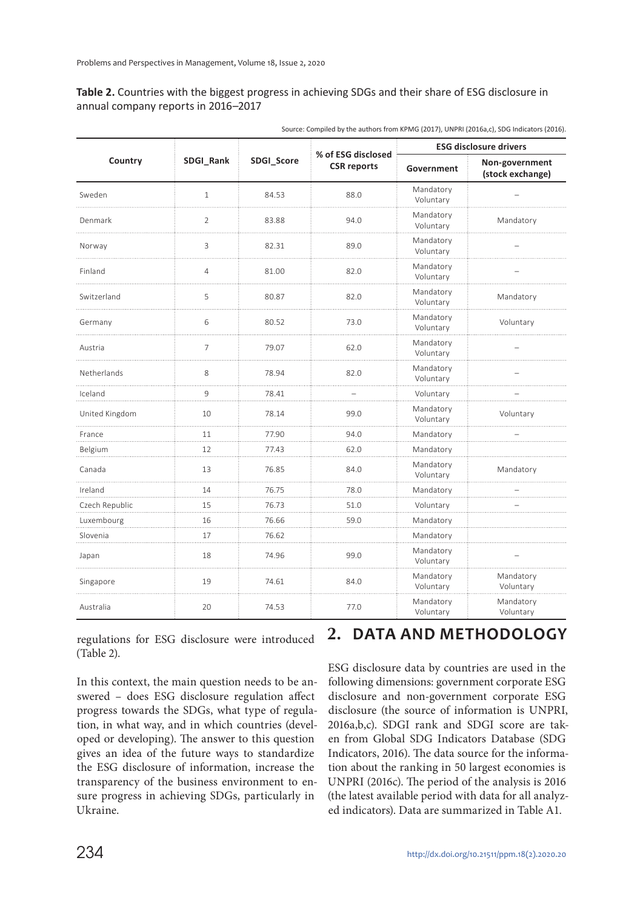#### **Table 2.** Countries with the biggest progress in achieving SDGs and their share of ESG disclosure in annual company reports in 2016–2017

|                |                |            |                                          |                        | <b>ESG disclosure drivers</b>      |  |  |
|----------------|----------------|------------|------------------------------------------|------------------------|------------------------------------|--|--|
| Country        | SDGI_Rank      | SDGI_Score | % of ESG disclosed<br><b>CSR</b> reports | Government             | Non-government<br>(stock exchange) |  |  |
| Sweden         | $\mathbf{1}$   | 84.53      | 88.0                                     | Mandatory<br>Voluntary |                                    |  |  |
| Denmark        | $\overline{2}$ | 83.88      | 94.0                                     | Mandatory<br>Voluntary | Mandatory                          |  |  |
| Norway         | 3              | 82.31      | 89.0                                     | Mandatory<br>Voluntary |                                    |  |  |
| Finland        | $\overline{4}$ | 81.00      | 82.0                                     | Mandatory<br>Voluntary |                                    |  |  |
| Switzerland    | 5              | 80.87      | 82.0                                     | Mandatory<br>Voluntary | Mandatory                          |  |  |
| Germany        | 6              | 80.52      | 73.0                                     | Mandatory<br>Voluntary | Voluntary                          |  |  |
| Austria        | $\overline{7}$ | 79.07      | 62.0                                     | Mandatory<br>Voluntary |                                    |  |  |
| Netherlands    | 8              | 78.94      | 82.0                                     | Mandatory<br>Voluntary |                                    |  |  |
| Iceland<br>.   | 9              | 78.41      |                                          | Voluntary              |                                    |  |  |
| United Kingdom | 10             | 78.14      | 99.0                                     | Mandatory<br>Voluntary | Voluntary                          |  |  |
| France         | 11<br>.        | 77.90      | 94.0                                     | Mandatory              |                                    |  |  |
| Belgium        | 12             | 77.43      | 62.0                                     | Mandatory              |                                    |  |  |
| Canada<br>.    | 13             | 76.85      | 84.0                                     | Mandatory<br>Voluntary | Mandatory                          |  |  |
| Ireland        | 14             | 76.75      | 78.0                                     | Mandatory              |                                    |  |  |
| Czech Republic | 15             | 76.73      | 51.0                                     | Voluntary              |                                    |  |  |
| Luxembourg     | 16             | 76.66      | 59.0                                     | Mandatory              |                                    |  |  |
| Slovenia       | 17             | 76.62      |                                          | Mandatory              |                                    |  |  |
| Japan          | 18             | 74.96      | 99.0                                     | Mandatory<br>Voluntary |                                    |  |  |
| Singapore      | 19             | 74.61      | 84.0                                     | Mandatory<br>Voluntary | Mandatory<br>Voluntary             |  |  |
| Australia      | 20             | 74.53      | 77.0                                     | Mandatory<br>Voluntary | Mandatory<br>Voluntary             |  |  |

| Source: Compiled by the authors from KPMG (2017), UNPRI (2016a,c), SDG Indicators (2016). |  |  |
|-------------------------------------------------------------------------------------------|--|--|
|                                                                                           |  |  |

regulations for ESG disclosure were introduced (Table 2).

In this context, the main question needs to be answered – does ESG disclosure regulation affect progress towards the SDGs, what type of regulation, in what way, and in which countries (developed or developing). The answer to this question gives an idea of the future ways to standardize the ESG disclosure of information, increase the transparency of the business environment to ensure progress in achieving SDGs, particularly in Ukraine.

### **2. DATA AND METHODOLOGY**

ESG disclosure data by countries are used in the following dimensions: government corporate ESG disclosure and non-government corporate ESG disclosure (the source of information is UNPRI, 2016a,b,c). SDGI rank and SDGI score are taken from Global SDG Indicators Database (SDG Indicators, 2016). The data source for the information about the ranking in 50 largest economies is UNPRI (2016c). The period of the analysis is 2016 (the latest available period with data for all analyzed indicators). Data are summarized in Table A1.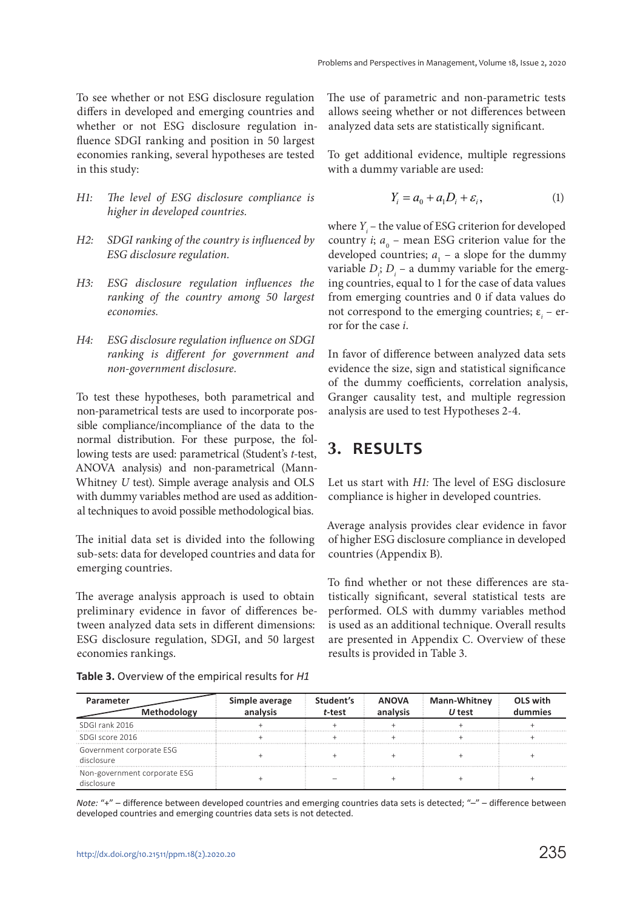To see whether or not ESG disclosure regulation differs in developed and emerging countries and whether or not ESG disclosure regulation influence SDGI ranking and position in 50 largest economies ranking, several hypotheses are tested in this study:

- *H1: The level of ESG disclosure compliance is higher in developed countries.*
- *H2: SDGI ranking of the country is influenced by ESG disclosure regulation.*
- *H3: ESG disclosure regulation influences the ranking of the country among 50 largest economies.*
- *H4: ESG disclosure regulation influence on SDGI ranking is different for government and non-government disclosure.*

To test these hypotheses, both parametrical and non-parametrical tests are used to incorporate possible compliance/incompliance of the data to the normal distribution. For these purpose, the following tests are used: parametrical (Student's *t*-test, ANOVA analysis) and non-parametrical (Mann-Whitney *U* test). Simple average analysis and OLS with dummy variables method are used as additional techniques to avoid possible methodological bias.

The initial data set is divided into the following sub-sets: data for developed countries and data for emerging countries.

The average analysis approach is used to obtain preliminary evidence in favor of differences between analyzed data sets in different dimensions: ESG disclosure regulation, SDGI, and 50 largest economies rankings.

The use of parametric and non-parametric tests allows seeing whether or not differences between analyzed data sets are statistically significant.

To get additional evidence, multiple regressions with a dummy variable are used:

$$
Y_i = a_0 + a_1 D_i + \varepsilon_i, \tag{1}
$$

where  $Y_i$  – the value of ESG criterion for developed country *i*;  $a_0$  – mean ESG criterion value for the developed countries;  $a_1$  – a slope for the dummy variable  $D_i$ ;  $D_i$  – a dummy variable for the emerging countries, equal to 1 for the case of data values from emerging countries and 0 if data values do not correspond to the emerging countries;  $\varepsilon$ <sub>*i*</sub> – error for the case *i*.

In favor of difference between analyzed data sets evidence the size, sign and statistical significance of the dummy coefficients, correlation analysis, Granger causality test, and multiple regression analysis are used to test Hypotheses 2-4.

# **3. RESULTS**

Let us start with *H1:* The level of ESG disclosure compliance is higher in developed countries.

Average analysis provides clear evidence in favor of higher ESG disclosure compliance in developed countries (Appendix B).

To find whether or not these differences are statistically significant, several statistical tests are performed. OLS with dummy variables method is used as an additional technique. Overall results are presented in Appendix C. Overview of these results is provided in Table 3.

**Table 3.** Overview of the empirical results for *H1*

| Parameter<br><b>Methodology</b>        | Simple average | Student's<br>t-test | <b>ANOVA</b> | <b>Mann-Whitney</b><br>U test | OLS with<br>mmies |
|----------------------------------------|----------------|---------------------|--------------|-------------------------------|-------------------|
| SDGI rank 2016                         |                |                     |              |                               |                   |
| SDGI score 2016                        |                |                     |              |                               |                   |
| Government corporate ESG<br>disclosure |                |                     |              |                               |                   |
| Non-government corporate ESG<br>OSTITP |                |                     |              |                               |                   |

*Note:* "+" – difference between developed countries and emerging countries data sets is detected; "-" – difference between developed countries and emerging countries data sets is not detected.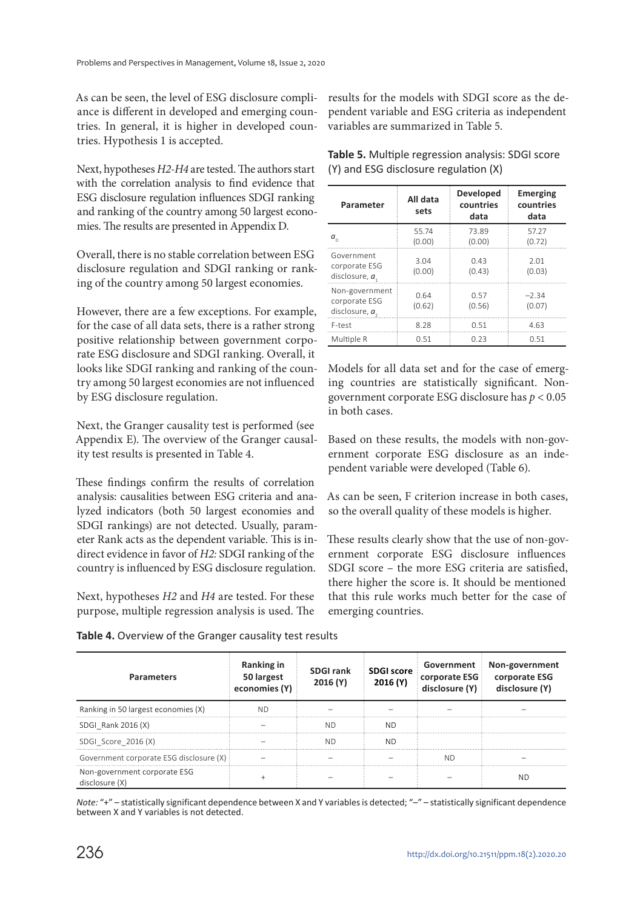As can be seen, the level of ESG disclosure compliance is different in developed and emerging countries. In general, it is higher in developed countries. Hypothesis 1 is accepted.

Next, hypotheses *H2*-*H4* are tested. The authors start with the correlation analysis to find evidence that ESG disclosure regulation influences SDGI ranking and ranking of the country among 50 largest economies. The results are presented in Appendix D.

Overall, there is no stable correlation between ESG disclosure regulation and SDGI ranking or ranking of the country among 50 largest economies.

However, there are a few exceptions. For example, for the case of all data sets, there is a rather strong positive relationship between government corporate ESG disclosure and SDGI ranking. Overall, it looks like SDGI ranking and ranking of the country among 50 largest economies are not influenced by ESG disclosure regulation.

Next, the Granger causality test is performed (see Appendix E). The overview of the Granger causality test results is presented in Table 4.

These findings confirm the results of correlation analysis: causalities between ESG criteria and analyzed indicators (both 50 largest economies and SDGI rankings) are not detected. Usually, parameter Rank acts as the dependent variable. This is indirect evidence in favor of *H2:* SDGI ranking of the country is influenced by ESG disclosure regulation.

Next, hypotheses *H2* and *H4* are tested. For these purpose, multiple regression analysis is used. The

results for the models with SDGI score as the dependent variable and ESG criteria as independent variables are summarized in Table 5.

| Parameter                                           | All data<br>sets | <b>Developed</b><br>countries<br>data | Emerging<br>countries<br>data |
|-----------------------------------------------------|------------------|---------------------------------------|-------------------------------|
| $a_{\scriptscriptstyle\alpha}$                      | 55.74<br>(0.00)  | 73.89<br>(0.00)                       | 57.27<br>(0.72)               |
| Government<br>corporate ESG<br>disclosure, $a1$     | 3.04<br>(0.00)   | 0.43<br>(0.43)                        | 2.01<br>(0.03)                |
| Non-government<br>corporate ESG<br>disclosure, $a2$ | 0.64<br>(0.62)   | 0.57<br>(0.56)                        | $-2.34$<br>(0.07)             |
| F-test                                              | 8.28             | 0.51                                  | 4.63                          |
| Multiple R                                          | 0.51             | 0.23                                  | 0.51                          |

(Y) and ESG disclosure regulation (X)

**Table 5.** Multiple regression analysis: SDGI score

Models for all data set and for the case of emerging countries are statistically significant. Nongovernment corporate ESG disclosure has *p* < 0.05 in both cases.

Based on these results, the models with non-government corporate ESG disclosure as an independent variable were developed (Table 6).

As can be seen, F criterion increase in both cases, so the overall quality of these models is higher.

These results clearly show that the use of non-government corporate ESG disclosure influences SDGI score – the more ESG criteria are satisfied, there higher the score is. It should be mentioned that this rule works much better for the case of emerging countries.

| <b>Parameters</b>                              | <b>Ranking in</b><br>50 largest<br>economies (Y) | <b>SDGI rank</b><br>2016(Y) | <b>SDGI score</b><br>2016 (Y) | Government<br>corporate ESG<br>disclosure (Y) | Non-government<br>corporate ESG<br>disclosure (Y) |
|------------------------------------------------|--------------------------------------------------|-----------------------------|-------------------------------|-----------------------------------------------|---------------------------------------------------|
| Ranking in 50 largest economies (X)            | ND                                               |                             |                               |                                               |                                                   |
| SDGI Rank 2016 (X)                             |                                                  | ND                          | NΠ                            |                                               |                                                   |
| SDGI_Score_2016(X)                             |                                                  | ΝD                          | ND.                           |                                               |                                                   |
| Government corporate ESG disclosure (X) :      |                                                  |                             |                               | NГ                                            |                                                   |
| Non-government corporate ESG<br>disclosure (X) |                                                  |                             |                               |                                               | NF.                                               |

**Table 4.** Overview of the Granger causality test results

*Note:* "+" – statistically significant dependence between X and Y variables is detected; "–" – statistically significant dependence between X and Y variables is not detected.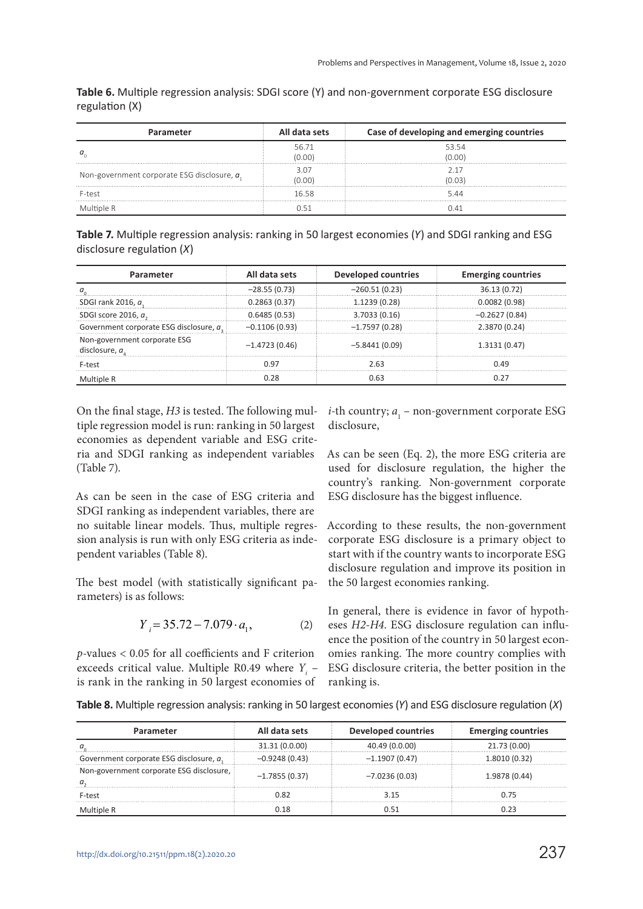| Parameter                                      | All data sets   | Case of developing and emerging countries |
|------------------------------------------------|-----------------|-------------------------------------------|
|                                                | 56.71<br>(0.00) | 53.54<br>(0.00)                           |
| Non-government corporate ESG disclosure, $a_1$ | 3.07<br>(0.00)  | (0.03)                                    |
| F-test                                         | 16.58           | 544                                       |
| Multiple R                                     | በ 51            | ገ 41                                      |

**Table 6.** Multiple regression analysis: SDGI score (Y) and non-government corporate ESG disclosure regulation (X)

**Table 7.** Multiple regression analysis: ranking in 50 largest economies (*Y*) and SDGI ranking and ESG disclosure regulation (*X*)

| Parameter                                     | All data sets   | <b>Developed countries</b> | <b>Emerging countries</b> |
|-----------------------------------------------|-----------------|----------------------------|---------------------------|
|                                               | $-28.55(0.73)$  | $-260.51(0.23)$            | 36.13 (0.72)              |
| SDGI rank 2016, a                             | 0.2863(0.37)    | 1.1239 (0.28)              | 0.0082(0.98)              |
| SDGI score 2016, $a_{s}$                      | 0.6485(0.53)    | 3.7033(0.16)               | $-0.2627(0.84)$           |
| Government corporate ESG disclosure, a.       | $-0.1106(0.93)$ | $-1.7597(0.28)$            | 2.3870 (0.24)             |
| Non-government corporate ESG<br>disclosure, a | $-1.4723(0.46)$ | $-5.8441(0.09)$            | 1.3131(0.47)              |
| F-test                                        | 0.97            | 2.63                       | 0.49                      |
| Multiple R                                    | 0.28            | 0.63                       | 0.27                      |

On the final stage, *H3* is tested. The following multiple regression model is run: ranking in 50 largest economies as dependent variable and ESG criteria and SDGI ranking as independent variables (Table 7).

As can be seen in the case of ESG criteria and SDGI ranking as independent variables, there are no suitable linear models. Thus, multiple regression analysis is run with only ESG criteria as independent variables (Table 8).

The best model (with statistically significant parameters) is as follows:

$$
Y_i = 35.72 - 7.079 \cdot a_1,\tag{2}
$$

*p*-values < 0.05 for all coefficients and F criterion exceeds critical value. Multiple R0.49 where  $Y_i$  – is rank in the ranking in 50 largest economies of ranking is.

*i*-th country;  $a_1$  – non-government corporate ESG disclosure,

As can be seen (Eq. 2), the more ESG criteria are used for disclosure regulation, the higher the country's ranking. Non-government corporate ESG disclosure has the biggest influence.

According to these results, the non-government corporate ESG disclosure is a primary object to start with if the country wants to incorporate ESG disclosure regulation and improve its position in the 50 largest economies ranking.

In general, there is evidence in favor of hypotheses *H2*-*H4*. ESG disclosure regulation can influence the position of the country in 50 largest economies ranking. The more country complies with ESG disclosure criteria, the better position in the

**Table 8.** Multiple regression analysis: ranking in 50 largest economies (*Y*) and ESG disclosure regulation (*X*)

| Parameter                                | All data sets   | <b>Developed countries</b> | <b>Emerging countries</b> |
|------------------------------------------|-----------------|----------------------------|---------------------------|
|                                          | 31.31 (0.0.00)  | 40.49 (0.0.00)             | 21.73 (0.00)              |
| Government corporate ESG disclosure, a.  | $-0.9248(0.43)$ | $-1.1907(0.47)$            | 1.8010 (0.32)             |
| Non-government corporate ESG disclosure, | $-1.7855(0.37)$ | $-7.0236(0.03)$            | 1.9878 (0.44)             |
| F-test                                   | 9 פ             | 3.15                       | 0.75                      |
|                                          |                 | N 51                       | ງ 23                      |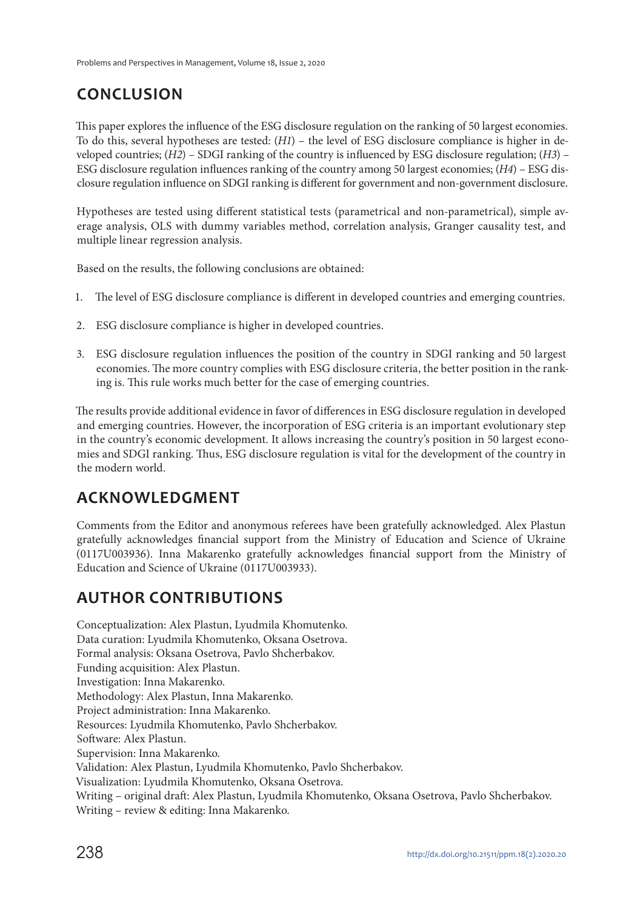# **CONCLUSION**

This paper explores the influence of the ESG disclosure regulation on the ranking of 50 largest economies. To do this, several hypotheses are tested: (*H1*) – the level of ESG disclosure compliance is higher in developed countries; (*H2*) – SDGI ranking of the country is influenced by ESG disclosure regulation; (*H3*) – ESG disclosure regulation influences ranking of the country among 50 largest economies; (*H4*) – ESG disclosure regulation influence on SDGI ranking is different for government and non-government disclosure.

Hypotheses are tested using different statistical tests (parametrical and non-parametrical), simple average analysis, OLS with dummy variables method, correlation analysis, Granger causality test, and multiple linear regression analysis.

Based on the results, the following conclusions are obtained:

- 1. The level of ESG disclosure compliance is different in developed countries and emerging countries.
- 2. ESG disclosure compliance is higher in developed countries.
- 3. ESG disclosure regulation influences the position of the country in SDGI ranking and 50 largest economies. The more country complies with ESG disclosure criteria, the better position in the ranking is. This rule works much better for the case of emerging countries.

The results provide additional evidence in favor of differences in ESG disclosure regulation in developed and emerging countries. However, the incorporation of ESG criteria is an important evolutionary step in the country's economic development. It allows increasing the country's position in 50 largest economies and SDGI ranking. Thus, ESG disclosure regulation is vital for the development of the country in the modern world.

# **ACKNOWLEDGMENT**

Comments from the Editor and anonymous referees have been gratefully acknowledged. Alex Plastun gratefully acknowledges financial support from the Ministry of Education and Science of Ukraine (0117U003936). Inna Makarenko gratefully acknowledges financial support from the Ministry of Education and Science of Ukraine (0117U003933).

# **AUTHOR CONTRIBUTIONS**

Conceptualization: Alex Plastun, Lyudmila Khomutenko. Data curation: Lyudmila Khomutenko, Oksana Osetrova. Formal analysis: Oksana Osetrova, Pavlo Shcherbakov. Funding acquisition: Alex Plastun. Investigation: Inna Makarenko. Methodology: Alex Plastun, Inna Makarenko. Project administration: Inna Makarenko. Resources: Lyudmila Khomutenko, Pavlo Shcherbakov. Software: Alex Plastun. Supervision: Inna Makarenko. Validation: Alex Plastun, Lyudmila Khomutenko, Pavlo Shcherbakov. Visualization: Lyudmila Khomutenko, Oksana Osetrova. Writing – original draft: Alex Plastun, Lyudmila Khomutenko, Oksana Osetrova, Pavlo Shcherbakov. Writing – review & editing: Inna Makarenko.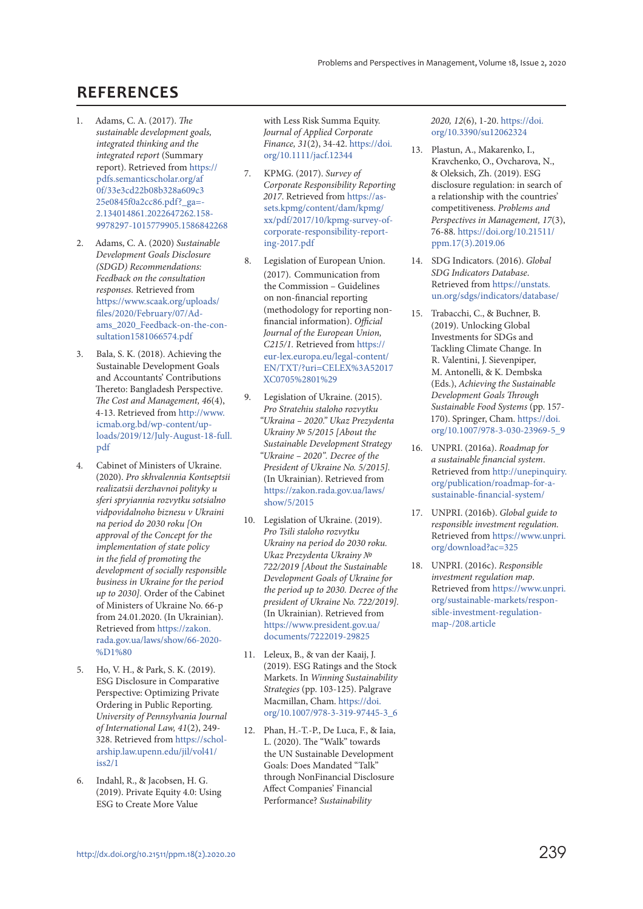### **REFERENCES**

- 1. Adams, C. A. (2017). *The sustainable development goals, integrated thinking and the integrated report* (Summary report). Retrieved from [https://](https://pdfs.semanticscholar.org/af0f/33e3cd22b08b328a609c325e0845f0a2cc86.pdf?_ga=2.134014861.2022647262.1589978297-1015779905.1586842268) [pdfs.semanticscholar.org/af](https://pdfs.semanticscholar.org/af0f/33e3cd22b08b328a609c325e0845f0a2cc86.pdf?_ga=2.134014861.2022647262.1589978297-1015779905.1586842268) [0f/33e3cd22b08b328a609c3](https://pdfs.semanticscholar.org/af0f/33e3cd22b08b328a609c325e0845f0a2cc86.pdf?_ga=2.134014861.2022647262.1589978297-1015779905.1586842268) [25e0845f0a2cc86.pdf?\\_ga=-](https://pdfs.semanticscholar.org/af0f/33e3cd22b08b328a609c325e0845f0a2cc86.pdf?_ga=2.134014861.2022647262.1589978297-1015779905.1586842268) [2.134014861.2022647262.158-](https://pdfs.semanticscholar.org/af0f/33e3cd22b08b328a609c325e0845f0a2cc86.pdf?_ga=2.134014861.2022647262.1589978297-1015779905.1586842268) [9978297-1015779905.1586842268](https://pdfs.semanticscholar.org/af0f/33e3cd22b08b328a609c325e0845f0a2cc86.pdf?_ga=2.134014861.2022647262.1589978297-1015779905.1586842268)
- 2. Adams, C. A. (2020) *Sustainable Development Goals Disclosure (SDGD) Recommendations: Feedback on the consultation responses.* Retrieved from [https://www.scaak.org/uploads/](https://www.scaak.org/uploads/files/2020/February/07/Adams_2020_Feedback-on-the-consultation1581066574.pdf) [files/2020/February/07/Ad](https://www.scaak.org/uploads/files/2020/February/07/Adams_2020_Feedback-on-the-consultation1581066574.pdf)[ams\\_2020\\_Feedback-on-the-con](https://www.scaak.org/uploads/files/2020/February/07/Adams_2020_Feedback-on-the-consultation1581066574.pdf)[sultation1581066574.pdf](https://www.scaak.org/uploads/files/2020/February/07/Adams_2020_Feedback-on-the-consultation1581066574.pdf)
- 3. Bala, S. K. (2018). Achieving the Sustainable Development Goals and Accountants' Contributions Thereto: Bangladesh Perspective. *The Cost and Management, 46*(4), 4-13. Retrieved from [http://www.](http://www.icmab.org.bd/wp-content/uploads/2019/12/July-August-18-full.pdf) [icmab.org.bd/wp-content/up](http://www.icmab.org.bd/wp-content/uploads/2019/12/July-August-18-full.pdf)[loads/2019/12/July-August-18-full.](http://www.icmab.org.bd/wp-content/uploads/2019/12/July-August-18-full.pdf) [pdf](http://www.icmab.org.bd/wp-content/uploads/2019/12/July-August-18-full.pdf)
- 4. Cabinet of Ministers of Ukraine. (2020). *Pro skhvalennia Kontseptsii realizatsii derzhavnoi polityky u sferi spryiannia rozvytku sotsialno vidpovidalnoho biznesu v Ukraini na period do 2030 roku [On approval of the Concept for the implementation of state policy in the field of promoting the development of socially responsible business in Ukraine for the period up to 2030].* Order of the Cabinet of Ministers of Ukraine No. 66-р from 24.01.2020. (In Ukrainian). Retrieved from [https://zakon.](https://zakon.rada.gov.ua/laws/show/66-2020-%D1%80) [rada.gov.ua/laws/show/66-2020-](https://zakon.rada.gov.ua/laws/show/66-2020-%D1%80) [%D1%80](https://zakon.rada.gov.ua/laws/show/66-2020-%D1%80)
- 5. Ho, V. H., & Park, S. K. (2019). ESG Disclosure in Comparative Perspective: Optimizing Private Ordering in Public Reporting*. University of Pennsylvania Journal of International Law, 41*(2), 249- 328. Retrieved from [https://schol](https://scholarship.law.upenn.edu/jil/vol41/iss2/1)[arship.law.upenn.edu/jil/vol41/](https://scholarship.law.upenn.edu/jil/vol41/iss2/1) [iss2/1](https://scholarship.law.upenn.edu/jil/vol41/iss2/1)
- 6. Indahl, R., & Jacobsen, H. G. (2019). Private Equity 4.0: Using ESG to Create More Value

with Less Risk Summa Equity. *Journal of Applied Corporate Finance, 31*(2), 34-42. [https://doi.](https://doi.org/10.1111/jacf.12344) [org/10.1111/jacf.12344](https://doi.org/10.1111/jacf.12344)

- 7. KPMG. (2017). *Survey of Corporate Responsibility Reporting 2017*. Retrieved from [https://as](https://assets.kpmg/content/dam/kpmg/xx/pdf/2017/10/kpmg-survey-of-corporate-responsibility-reporting-2017.pdf)[sets.kpmg/content/dam/kpmg/](https://assets.kpmg/content/dam/kpmg/xx/pdf/2017/10/kpmg-survey-of-corporate-responsibility-reporting-2017.pdf) [xx/pdf/2017/10/kpmg-survey-of](https://assets.kpmg/content/dam/kpmg/xx/pdf/2017/10/kpmg-survey-of-corporate-responsibility-reporting-2017.pdf)[corporate-responsibility-report](https://assets.kpmg/content/dam/kpmg/xx/pdf/2017/10/kpmg-survey-of-corporate-responsibility-reporting-2017.pdf)[ing-2017.pdf](https://assets.kpmg/content/dam/kpmg/xx/pdf/2017/10/kpmg-survey-of-corporate-responsibility-reporting-2017.pdf)
- 8. Legislation of European Union. (2017). Communication from the Commission – Guidelines on non-financial reporting (methodology for reporting nonfinancial information). *Official Journal of the European Union, C215/1.* Retrieved from [https://](https://eur-lex.europa.eu/legal-content/EN/TXT/?uri=CELEX%3A52017XC0705%2801%29) [eur-lex.europa.eu/legal-content/](https://eur-lex.europa.eu/legal-content/EN/TXT/?uri=CELEX%3A52017XC0705%2801%29) [EN/TXT/?uri=CELEX%3A52017](https://eur-lex.europa.eu/legal-content/EN/TXT/?uri=CELEX%3A52017XC0705%2801%29) [XC0705%2801%29](https://eur-lex.europa.eu/legal-content/EN/TXT/?uri=CELEX%3A52017XC0705%2801%29)
- 9. Legislation of Ukraine. (2015). *Pro Stratehiu staloho rozvytku "Ukraina – 2020." Ukaz Prezydenta Ukrainy № 5/2015 [About the Sustainable Development Strategy "Ukraine – 2020". Decree of the President of Ukraine No. 5/2015].* (In Ukrainian). Retrieved from [https://zakon.rada.gov.ua/laws/](https://zakon.rada.gov.ua/laws/show/5/2015) [show/5/2015](https://zakon.rada.gov.ua/laws/show/5/2015)
- 10. Legislation of Ukraine. (2019). *Pro Tsili staloho rozvytku Ukrainy na period do 2030 roku. Ukaz Prezydenta Ukrainy № 722/2019 [About the Sustainable Development Goals of Ukraine for the period up to 2030. Decree of the president of Ukraine No. 722/2019].* (In Ukrainian). Retrieved from [https://www.president.gov.ua/](https://www.president.gov.ua/documents/7222019-29825) [documents/7222019-29825](https://www.president.gov.ua/documents/7222019-29825)
- 11. Leleux, B., & van der Kaaij, J. (2019). ESG Ratings and the Stock Markets. In *Winning Sustainability Strategies* (pp. 103-125). Palgrave Macmillan, Cham. [https://doi.](https://doi.org/10.1007/978-3-319-97445-3_6) [org/10.1007/978-3-319-97445-3\\_6](https://doi.org/10.1007/978-3-319-97445-3_6)
- 12. Phan, H.-T.-P., De Luca, F., & Iaia, L. (2020). The "Walk" towards the UN Sustainable Development Goals: Does Mandated "Talk" through NonFinancial Disclosure Affect Companies' Financial Performance? *Sustainability*

*2020, 12*(6), 1-20. [https://doi.](https://doi.org/10.3390/su12062324) [org/10.3390/su12062324](https://doi.org/10.3390/su12062324)

- 13. Plastun, A., Makarenko, I., Kravchenko, O., Ovcharova, N., & Oleksich, Zh. (2019). ESG disclosure regulation: in search of a relationship with the countries' competitiveness. *Problems and Perspectives in Management, 17*(3), 76-88. [https://doi.org/10.21511/](https://doi.org/10.21511/ppm.17(3).2019.06) [ppm.17\(3\).2019.06](https://doi.org/10.21511/ppm.17(3).2019.06)
- 14. SDG Indicators. (2016). *Global SDG Indicators Database*. Retrieved from [https://unstats.](https://unstats.un.org/sdgs/indicators/database/) [un.org/sdgs/indicators/database/](https://unstats.un.org/sdgs/indicators/database/)
- 15. Trabacchi, C., & Buchner, B. (2019). Unlocking Global Investments for SDGs and Tackling Climate Change. In R. Valentini, J. Sievenpiper, M. Antonelli, & K. Dembska (Eds.), *Achieving the Sustainable Development Goals Through Sustainable Food Systems* (pp. 157- 170). Springer, Cham. [https://doi.](https://doi.org/10.1007/978-3-030-23969-5_9) [org/10.1007/978-3-030-23969-5\\_9](https://doi.org/10.1007/978-3-030-23969-5_9)
- 16. UNPRI. (2016a). *Roadmap for a sustainable financial system*. Retrieved from [http://unepinquiry.](http://unepinquiry.org/publication/roadmap-for-a-sustainable-financial-system/) [org/publication/roadmap-for-a](http://unepinquiry.org/publication/roadmap-for-a-sustainable-financial-system/)[sustainable-financial-system/](http://unepinquiry.org/publication/roadmap-for-a-sustainable-financial-system/)
- 17. UNPRI. (2016b). *Global guide to responsible investment regulation.* Retrieved from [https://www.unpri.](https://www.unpri.org/download?ac=325) [org/download?ac=325](https://www.unpri.org/download?ac=325)
- 18. UNPRI. (2016c). *Responsible investment regulation map*. Retrieved from [https://www.unpri.](https://www.unpri.org/sustainable-markets/responsible-investment-regulation-map-/208.article) [org/sustainable-markets/respon](https://www.unpri.org/sustainable-markets/responsible-investment-regulation-map-/208.article)[sible-investment-regulation](https://www.unpri.org/sustainable-markets/responsible-investment-regulation-map-/208.article)[map-/208.article](https://www.unpri.org/sustainable-markets/responsible-investment-regulation-map-/208.article)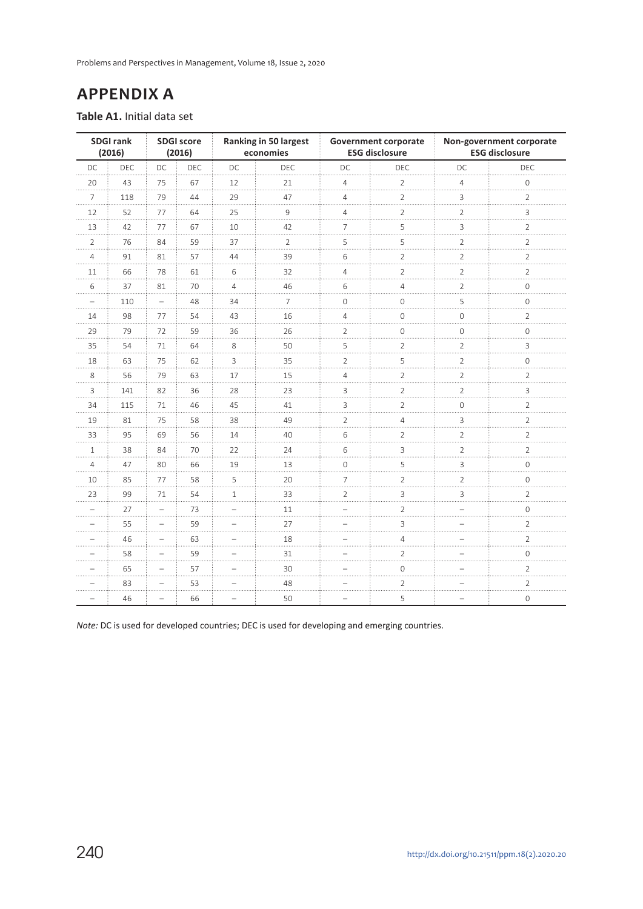Problems and Perspectives in Management, Volume 18, Issue 2, 2020

# **APPENDIX A**

**Table A1.** Initial data set

|                | <b>SDGI rank</b><br>(2016) |                          | <b>SDGI score</b><br>(2016) |                            | Ranking in 50 largest<br>economies |                          | <b>Government corporate</b><br><b>ESG disclosure</b> |                     | Non-government corporate<br><b>ESG disclosure</b> |
|----------------|----------------------------|--------------------------|-----------------------------|----------------------------|------------------------------------|--------------------------|------------------------------------------------------|---------------------|---------------------------------------------------|
| DC             | <b>DEC</b>                 | DC                       | DEC                         | DC                         | <b>DEC</b>                         | DC                       | DEC                                                  | DC                  | <b>DEC</b>                                        |
| 20             | 43                         | 75                       | 67                          | 12                         | 21<br>$\cdots$                     | $\overline{4}$           | $\overline{2}$                                       | 4<br>.              | 0                                                 |
| $\overline{7}$ | 118                        | 79                       | 44                          | 29                         | 47                                 | $\overline{4}$           | $\overline{2}$<br>.                                  | 3                   | $\overline{2}$                                    |
| 12             | 52                         | 77                       | 64                          | 25<br>$\cdots$             | 9<br>.                             | 4                        | $\overline{c}$                                       | $\overline{2}$      | 3                                                 |
| 13             | 42                         | 77                       | 67                          | 10<br>$\cdots$             | 42<br>.                            | 7<br>$\cdots$            | 5<br>.                                               | 3                   | 2                                                 |
| $\overline{2}$ | 76                         | 84                       | 59                          | 37                         | 2<br>$\cdots$                      | 5                        | 5                                                    | 2                   | $\overline{c}$                                    |
| 4              | 91                         | 81                       | 57                          | 44                         | 39                                 | 6                        | $\overline{2}$                                       | $\overline{2}$      | 2                                                 |
| 11<br>.        | 66                         | 78                       | 61<br>.                     | 6<br>.                     | 32<br>.                            | $\overline{4}$<br>.      | $\overline{2}$<br>.                                  | $\overline{2}$<br>. | $\overline{2}$<br>.                               |
| 6              | 37                         | 81                       | 70                          | $\overline{4}$             | 46                                 | 6                        | 4                                                    | $\overline{2}$      | 0                                                 |
|                | 110                        |                          | 48                          | 34                         | $\overline{7}$                     | 0                        | $\overline{0}$                                       | 5                   | $\Omega$                                          |
| 14             | 98                         | 77                       | 54                          | 43<br>$\cdots$             | 16<br>.                            | $\overline{4}$<br>.      | 0<br>.                                               | $\mathbf{0}$        | 2                                                 |
| 29             | 79                         | 72                       | 59                          | 36                         | 26                                 | $\overline{2}$<br>.      | 0                                                    | $\mathsf{O}\xspace$ | 0                                                 |
| 35             | 54                         | 71                       | 64                          | 8                          | 50<br>.                            | 5                        | $\overline{2}$                                       | $\overline{2}$      | 3                                                 |
| 18<br>1.1.1.1  | 63                         | 75                       | 62                          | 3<br>$\cdots$              | 35<br>.                            | $\overline{2}$<br>1.1.1  | 5<br>.                                               | $\overline{2}$<br>. | 0                                                 |
| 8              | 56                         | 79                       | 63                          | 17                         | 15                                 | $\overline{4}$           | $\overline{2}$                                       | $\overline{2}$      | $\overline{2}$                                    |
| 3              | 141                        | 82                       | 36                          | 28                         | 23                                 | 3                        | $\overline{2}$                                       | $\overline{2}$      | 3                                                 |
| 34             | 115                        | 71                       | 46                          | 45                         | 41<br>$\cdots$                     | 3<br>1.11                | $\overline{2}$                                       | $\mathbf 0$         | $\overline{2}$                                    |
| 19             | 81                         | 75                       | 58                          | 38                         | 49                                 | $\overline{2}$           | 4                                                    | 3                   | $\overline{2}$                                    |
| 33             | 95                         | 69                       | 56<br>.                     | 14<br>$\cdots$             | 40<br>$\cdots$                     | 6<br>$\cdots$            | $\overline{2}$<br>.                                  | $\overline{2}$<br>. | 2                                                 |
| $\mathbf{1}$   | 38                         | 84                       | 70                          | 22                         | 24                                 | 6                        | 3                                                    | $\overline{2}$<br>. | $\overline{2}$                                    |
| $\overline{4}$ | 47                         | 80                       | 66                          | 19                         | 13                                 | 0                        | 5                                                    | 3                   | 0                                                 |
| 10<br>.        | 85                         | 77                       | 58                          | 5<br>.                     | 20<br>.                            | $\overline{7}$<br>.      | $\overline{2}$<br>.                                  | $\overline{2}$<br>. | $\Omega$                                          |
| 23             | 99                         | 71                       | 54                          | $\mathbf{1}$               | 33                                 | 2<br>$\cdots$            | 3                                                    | 3                   | $\overline{2}$                                    |
|                | 27                         | $\overline{\phantom{0}}$ | 73                          | -                          | 11<br>$\cdots$                     |                          | $\overline{2}$                                       |                     | 0                                                 |
|                | 55                         | $\overline{\phantom{0}}$ | 59                          | $\overline{a}$<br>$\cdots$ | 27<br>$\cdots$                     | $\overline{\phantom{a}}$ | 3                                                    |                     | $\overline{2}$                                    |
|                | 46                         |                          | 63                          |                            | 18<br>$\cdots$                     |                          | $\sqrt{4}$                                           |                     | $\overline{2}$                                    |
|                | 58                         |                          | 59                          |                            | 31                                 |                          | $\overline{2}$                                       |                     | $\Omega$                                          |
|                | 65                         |                          | 57                          | $\cdots$                   | 30<br>$\cdots$                     | .                        | 0                                                    |                     | 2<br>.                                            |
|                | 83                         |                          | 53                          |                            | 48                                 |                          | 2                                                    |                     | $\overline{2}$                                    |
|                | 46                         |                          | 66                          | $\overline{\phantom{0}}$   | 50                                 | $\overline{\phantom{0}}$ | 5                                                    |                     | 0                                                 |

*Note:* DC is used for developed countries; DEC is used for developing and emerging countries.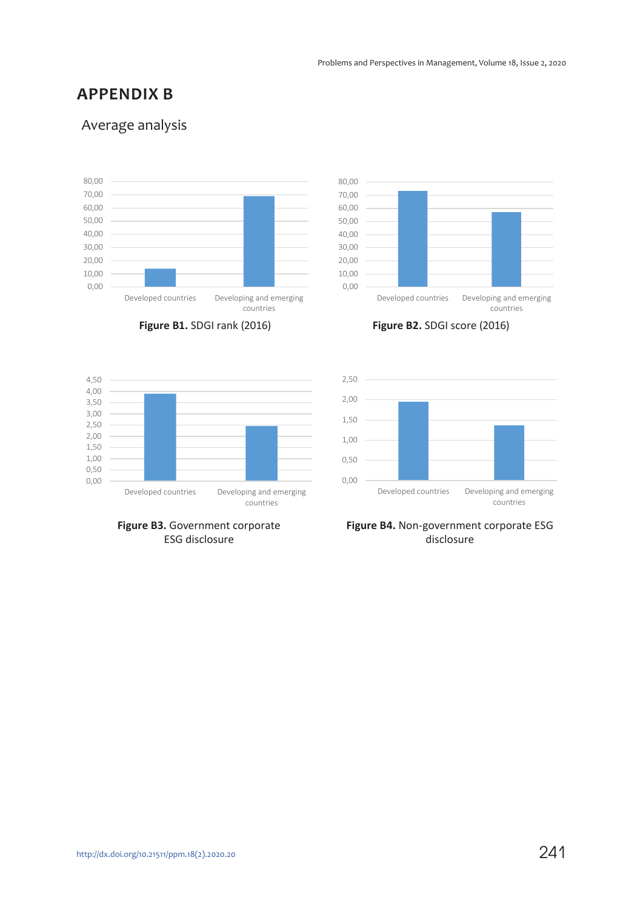### **APPENDIX B**

### Average analysis







**Figure B1.** SDGI rank (2016) **Figure B2.** SDGI score (2016)



**Figure B3.** Government corporate ESG disclosure



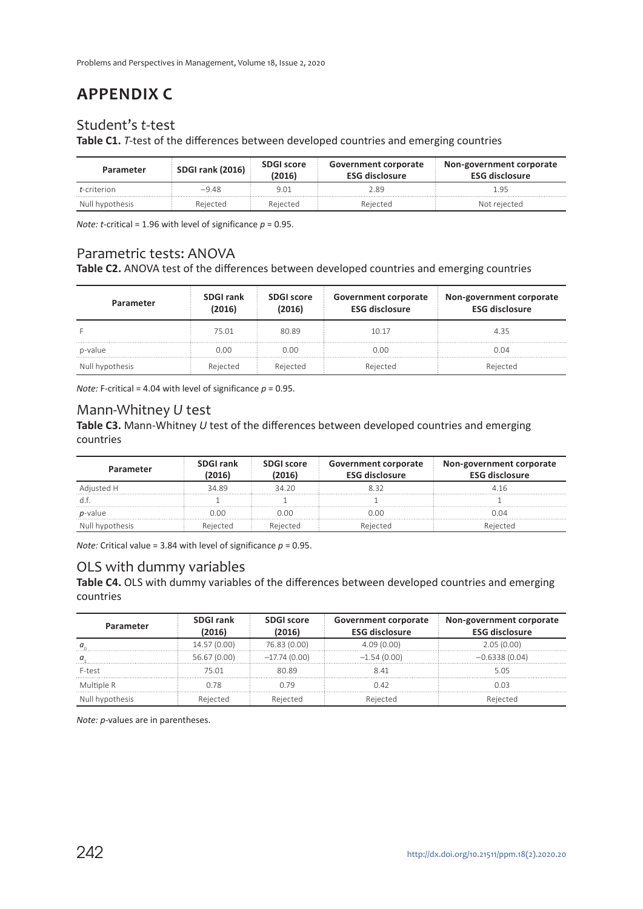# **APPENDIX C**

### Student's *t*-test

**Table C1.** *T*-test of the differences between developed countries and emerging countries

| Parameter           | SDGI rank (2016) | <b>SDGI score</b><br>2016) | Government corporate<br><b>ESG disclosure</b> | Non-government corporate<br><b>ESG disclosure</b> |
|---------------------|------------------|----------------------------|-----------------------------------------------|---------------------------------------------------|
| <i>t</i> -criterion | $-9.48$          | 9.01                       | 2.89                                          | g-                                                |
| Null hypothesis     | Rejected         | Rejected                   | Rejected                                      | Not rejected                                      |

*Note: t*-critical = 1.96 with level of significance  $p = 0.95$ .

### Parametric tests: ANOVA

**Table C2.** ANOVA test of the differences between developed countries and emerging countries

| Parameter       | <b>SDGI rank</b><br>(2016) | <b>SDGI score</b><br>(2016) | <b>Government corporate</b><br><b>ESG disclosure</b> | Non-government corporate<br><b>ESG disclosure</b> |
|-----------------|----------------------------|-----------------------------|------------------------------------------------------|---------------------------------------------------|
|                 | 75.01                      | 80.89                       | 10.17                                                | 4.35                                              |
| p-value         | 0.00                       | n nn                        | 0.00                                                 | 0.04                                              |
| Null hypothesis | Rejected                   | Rejected                    | Rejected                                             | Rejected                                          |

*Note:* F-critical = 4.04 with level of significance *p* = 0.95.

### Mann-Whitney *U* test

**Table C3.** Mann-Whitney *U* test of the differences between developed countries and emerging countries

| Parameter       | <b>SDGI rank</b><br>2016 | <b>SDGI score</b><br>2016) | Government corporate<br><b>ESG disclosure</b> | Non-government corporate<br><b>ESG disclosure</b> |
|-----------------|--------------------------|----------------------------|-----------------------------------------------|---------------------------------------------------|
| Adjusted H      | 34.89                    | 34.20                      |                                               | 4 16                                              |
|                 |                          |                            |                                               |                                                   |
| <i>p</i> -value | חח ר                     | 0.00                       | ) በበ                                          | ነ በ4                                              |
| Null hypothesis | Rejected                 | Rejected                   | Rejected                                      |                                                   |

*Note:* Critical value = 3.84 with level of significance *p* = 0.95.

### OLS with dummy variables

**Table C4.** OLS with dummy variables of the differences between developed countries and emerging countries

| Parameter       | <b>SDGI rank</b><br>(2016) | <b>SDGI score</b><br>(2016) | <b>Government corporate</b><br><b>ESG disclosure</b> | Non-government corporate<br><b>ESG disclosure</b> |
|-----------------|----------------------------|-----------------------------|------------------------------------------------------|---------------------------------------------------|
|                 | 14.57 (0.00)               | 76.83 (0.00)                | 4.09(0.00)                                           | 2.05(0.00)                                        |
|                 | 56.67 (0.00)               | $-17.74(0.00)$              | $-1.54(0.00)$                                        | $-0.6338(0.04)$                                   |
| F-test          | 75.01                      | 80.89                       | 841                                                  | 5.05                                              |
| Multiple R      | በ 78                       | በ 79                        | በ 42                                                 | በ በ3                                              |
| Null hypothesis | Rejected                   | Rejected                    | Rejected                                             | Rejected                                          |

*Note: p*-values are in parentheses.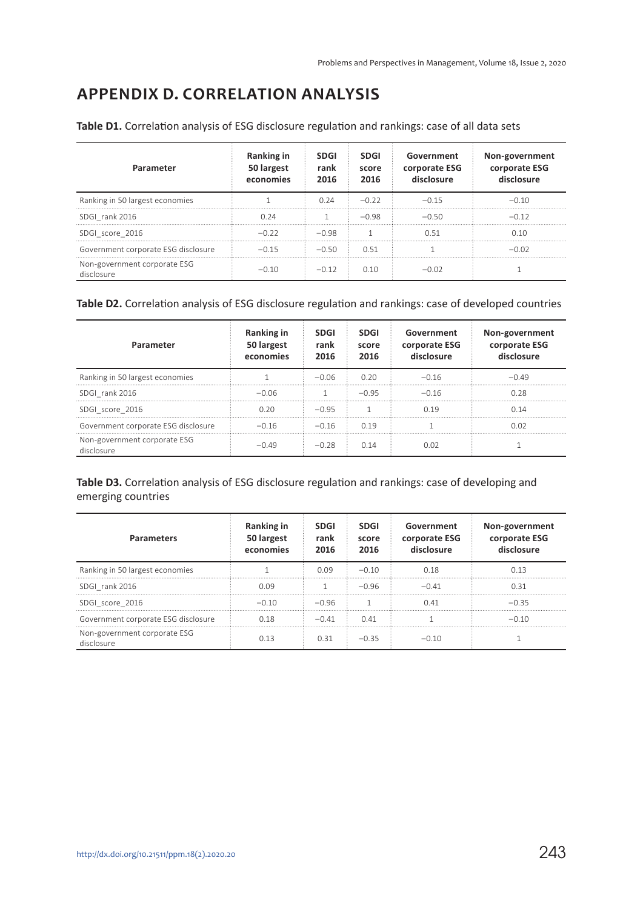# **APPENDIX D. CORRELATION ANALYSIS**

| Parameter                                  | Ranking in<br>50 largest<br>economies | <b>SDGI</b><br>rank<br>2016 | <b>SDGI</b><br>score<br>2016 | Government<br>corporate ESG<br>disclosure | Non-government<br>corporate ESG<br>disclosure |
|--------------------------------------------|---------------------------------------|-----------------------------|------------------------------|-------------------------------------------|-----------------------------------------------|
| Ranking in 50 largest economies            |                                       | 0.24                        | $-0.22$                      | $-0.15$                                   | $-0.10$                                       |
| SDGI rank 2016                             | 0.24                                  |                             | $-0.98$                      | $-0.50$                                   | $-0.12$                                       |
| SDGI score 2016                            | $-0.22$                               | $-0.98$                     |                              | O 51                                      | በ 1በ                                          |
| Government corporate ESG disclosure        | $-0.15$                               | $-0.50$                     | O 51                         |                                           | $-0.02$                                       |
| Non-government corporate ESG<br>disclosure | $-0.10$                               | $-0.12$                     | 0.10                         | $-0.02$                                   |                                               |

**Table D1.** Correlation analysis of ESG disclosure regulation and rankings: case of all data sets

### **Table D2.** Correlation analysis of ESG disclosure regulation and rankings: case of developed countries

| Parameter                                  | Ranking in<br>50 largest<br>economies | <b>SDGI</b><br>rank<br>2016 | <b>SDGI</b><br>score<br>2016 | Government<br>corporate ESG<br>disclosure | Non-government<br>corporate ESG<br>disclosure |
|--------------------------------------------|---------------------------------------|-----------------------------|------------------------------|-------------------------------------------|-----------------------------------------------|
| Ranking in 50 largest economies            |                                       | $-0.06$                     | 0.20                         | $-0.16$                                   | $-0.49$                                       |
| SDGI rank 2016                             | $-0.06$                               |                             | $-0.95$                      | $-0.16$                                   | 0.28                                          |
| SDGI score 2016                            | 0.20                                  | $-0.95$                     |                              | n 19                                      | 0.14                                          |
| Government corporate ESG disclosure        | $-0.16$                               | $-0.16$                     | n 19                         |                                           | 0.O2                                          |
| Non-government corporate ESG<br>disclosure | –೧ 49                                 | $-0.28$                     | O 14                         | 0.02                                      |                                               |

### **Table D3.** Correlation analysis of ESG disclosure regulation and rankings: case of developing and emerging countries

| <b>Parameters</b>                          | <b>Ranking in</b><br>50 largest<br>economies | <b>SDGI</b><br>rank<br>2016 | <b>SDGI</b><br>score<br>2016 | Government<br>corporate ESG<br>disclosure | Non-government<br>corporate ESG<br>disclosure |
|--------------------------------------------|----------------------------------------------|-----------------------------|------------------------------|-------------------------------------------|-----------------------------------------------|
| Ranking in 50 largest economies            |                                              | 0.09                        | $-0.10$                      | 0.18                                      | በ 13                                          |
| SDGI rank 2016                             | 0.09                                         |                             | $-0.96$                      | $-0.41$                                   | O 31                                          |
| SDGI score 2016                            | $-0.10$                                      | $-0.96$                     |                              | 0.41                                      | $-0.35$                                       |
| Government corporate ESG disclosure        | 0.18                                         | $-0.41$                     | 0.41                         |                                           | $-0.10$                                       |
| Non-government corporate ESG<br>disclosure | O 13                                         | 0.31                        | $-0.35$                      | $-0.10$                                   |                                               |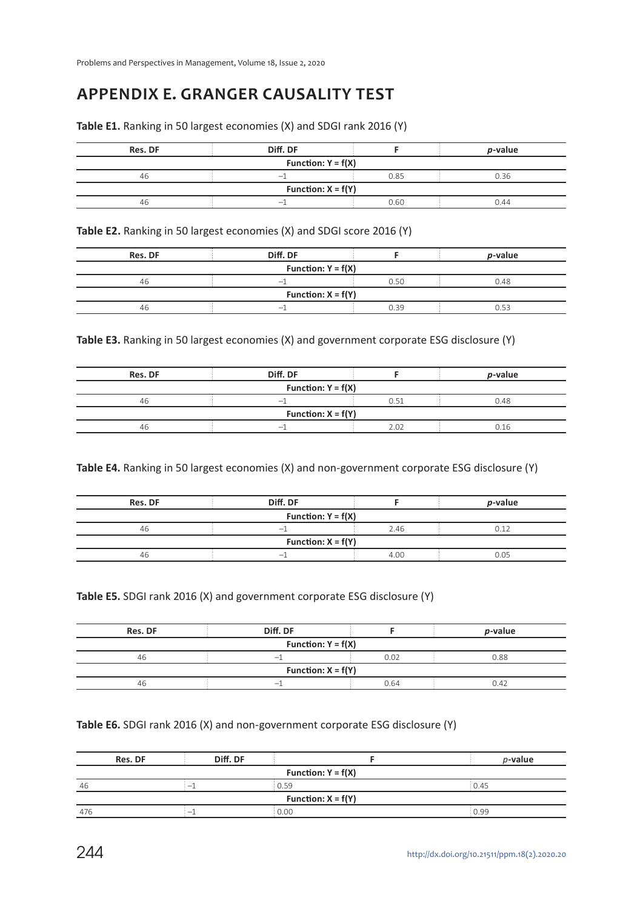# **APPENDIX E. GRANGER CAUSALITY TEST**

|  |  | Table E1. Ranking in 50 largest economies (X) and SDGI rank 2016 (Y) |
|--|--|----------------------------------------------------------------------|
|--|--|----------------------------------------------------------------------|

| Res. DF              | Diff. DF                 |      | <i>p</i> -value |  |  |
|----------------------|--------------------------|------|-----------------|--|--|
| Function: $Y = f(X)$ |                          |      |                 |  |  |
| 46                   |                          | 0.85 | 0.36            |  |  |
| Function: $X = f(Y)$ |                          |      |                 |  |  |
| 46                   | $\overline{\phantom{a}}$ | 0.60 | 0.44            |  |  |

**Table E2.** Ranking in 50 largest economies (X) and SDGI score 2016 (Y)

| Res. DF              | Diff. DF |      | <i>p</i> -value |  |  |
|----------------------|----------|------|-----------------|--|--|
| Function: $Y = f(X)$ |          |      |                 |  |  |
| 46                   |          | 0.50 | 0.48            |  |  |
| Function: $X = f(Y)$ |          |      |                 |  |  |
| 46                   |          | 0.39 | 0.53            |  |  |

**Table E3.** Ranking in 50 largest economies (X) and government corporate ESG disclosure (Y)

| Res. DF              | Diff. DF                 |      | <i>p</i> -value |  |  |
|----------------------|--------------------------|------|-----------------|--|--|
| Function: $Y = f(X)$ |                          |      |                 |  |  |
| 46                   | $\overline{\phantom{a}}$ | 0.51 | 0.48            |  |  |
| Function: $X = f(Y)$ |                          |      |                 |  |  |
| 46                   |                          | 2.02 | 0 16            |  |  |

**Table E4.** Ranking in 50 largest economies (X) and non-government corporate ESG disclosure (Y)

| Res. DF              | Diff. DF                 |      | <i>p</i> -value |  |  |
|----------------------|--------------------------|------|-----------------|--|--|
| Function: $Y = f(X)$ |                          |      |                 |  |  |
| 46                   | $\overline{\phantom{a}}$ | 2.46 | 0.12            |  |  |
| Function: $X = f(Y)$ |                          |      |                 |  |  |
| 46                   | $\overline{\phantom{a}}$ | 4.00 | 0.05            |  |  |

### **Table E5.** SDGI rank 2016 (X) and government corporate ESG disclosure (Y)

| <b>Res. DF</b> | Diff. DF             |      | <i>p</i> -value |
|----------------|----------------------|------|-----------------|
|                | Function: $Y = f(X)$ |      |                 |
| 46             | $\hspace{0.05cm}$    | 0.02 | 0.88            |
|                | Function: $X = f(Y)$ |      |                 |
| 46             |                      | 0.64 | 0.42            |

#### **Table E6.** SDGI rank 2016 (X) and non-government corporate ESG disclosure (Y)

| Res. DF              | Diff. DF                 |      | $p$ -value |  |  |
|----------------------|--------------------------|------|------------|--|--|
| Function: $Y = f(X)$ |                          |      |            |  |  |
| 46                   | $\overline{\phantom{a}}$ | 0.59 | 0.45       |  |  |
| Function: $X = f(Y)$ |                          |      |            |  |  |
| 476                  |                          | 0.00 | 0.99       |  |  |